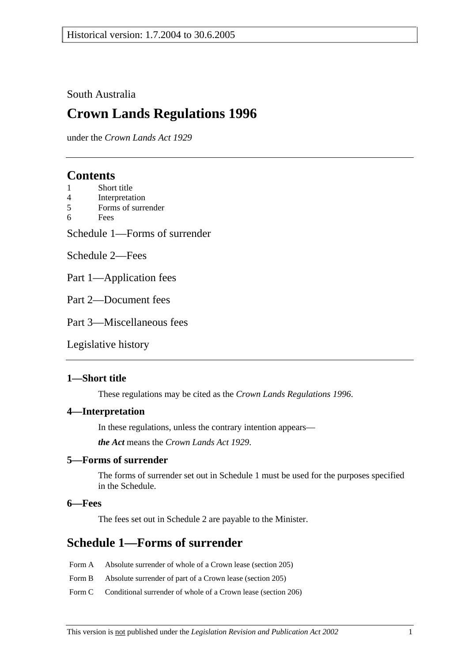### South Australia

# **Crown Lands Regulations 1996**

under the *Crown Lands Act 1929*

### **Contents**

- 1 Short title
- 4 Interpretation
- 5 Forms of surrender
- 6 Fees

Schedule 1—Forms of surrender

Schedule 2—Fees

Part 1—Application fees

Part 2—Document fees

Part 3—Miscellaneous fees

Legislative history

### **1—Short title**

These regulations may be cited as the *Crown Lands Regulations 1996*.

#### **4—Interpretation**

In these regulations, unless the contrary intention appears—

*the Act* means the *Crown Lands Act 1929*.

#### **5—Forms of surrender**

The forms of surrender set out in Schedule 1 must be used for the purposes specified in the Schedule.

#### **6—Fees**

The fees set out in Schedule 2 are payable to the Minister.

# **Schedule 1—Forms of surrender**

- Form A Absolute surrender of whole of a Crown lease (section 205)
- Form B Absolute surrender of part of a Crown lease (section 205)
- Form C Conditional surrender of whole of a Crown lease (section 206)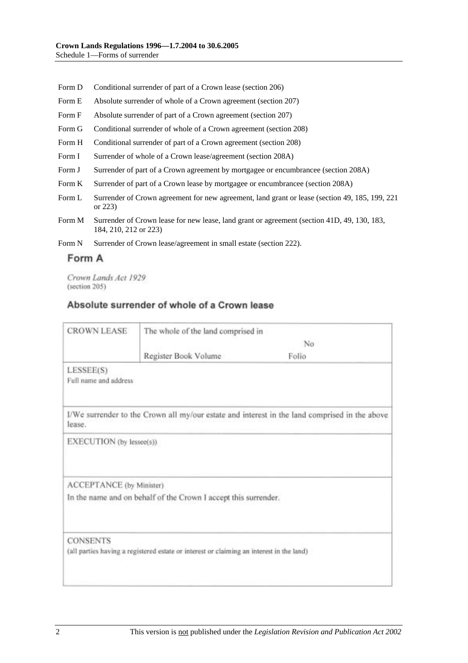- Form D Conditional surrender of part of a Crown lease (section 206)
- Form E Absolute surrender of whole of a Crown agreement (section 207)
- Form F Absolute surrender of part of a Crown agreement (section 207)
- Form G Conditional surrender of whole of a Crown agreement (section 208)
- Form H Conditional surrender of part of a Crown agreement (section 208)
- Form I Surrender of whole of a Crown lease/agreement (section 208A)
- Form J Surrender of part of a Crown agreement by mortgagee or encumbrancee (section 208A)
- Form K Surrender of part of a Crown lease by mortgagee or encumbrancee (section 208A)
- Form L Surrender of Crown agreement for new agreement, land grant or lease (section 49, 185, 199, 221 or 223)
- Form M Surrender of Crown lease for new lease, land grant or agreement (section 41D, 49, 130, 183, 184, 210, 212 or 223)
- Form N Surrender of Crown lease/agreement in small estate (section 222).

#### Form A

Crown Lands Act 1929 (section 205)

### Absolute surrender of whole of a Crown lease

| <b>CROWN LEASE</b>                 | The whole of the land comprised in                                                       |                                                                                               |  |
|------------------------------------|------------------------------------------------------------------------------------------|-----------------------------------------------------------------------------------------------|--|
|                                    |                                                                                          | No                                                                                            |  |
|                                    | Register Book Volume                                                                     | Folio                                                                                         |  |
| LESSEE(S)<br>Full name and address |                                                                                          |                                                                                               |  |
| lease.                             |                                                                                          | I/We surrender to the Crown all my/our estate and interest in the land comprised in the above |  |
| EXECUTION (by lessee(s))           |                                                                                          |                                                                                               |  |
| ACCEPTANCE (by Minister)           |                                                                                          |                                                                                               |  |
|                                    | In the name and on behalf of the Crown I accept this surrender.                          |                                                                                               |  |
| <b>CONSENTS</b>                    | (all parties having a registered estate or interest or claiming an interest in the land) |                                                                                               |  |
|                                    |                                                                                          |                                                                                               |  |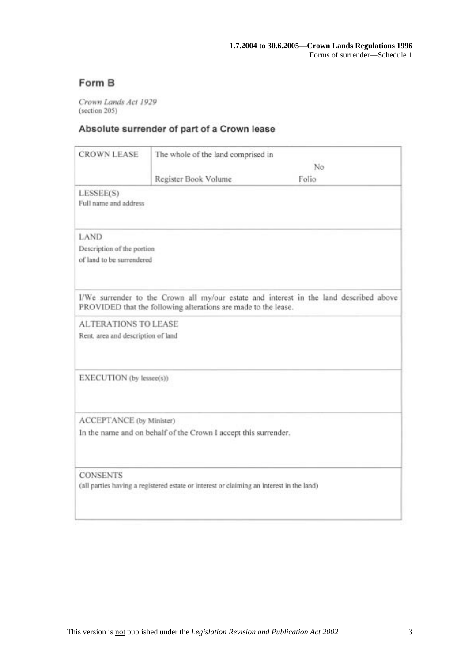# Form B

Crown Lands Act 1929 (section 205)

### Absolute surrender of part of a Crown lease

| <b>CROWN LEASE</b>                 | The whole of the land comprised in                                                       |                                                                                        |
|------------------------------------|------------------------------------------------------------------------------------------|----------------------------------------------------------------------------------------|
|                                    | No                                                                                       |                                                                                        |
|                                    | Register Book Volume                                                                     | Folio                                                                                  |
| LESSEE(S)<br>Full name and address |                                                                                          |                                                                                        |
| LAND                               |                                                                                          |                                                                                        |
| Description of the portion         |                                                                                          |                                                                                        |
| of land to be surrendered          |                                                                                          |                                                                                        |
|                                    |                                                                                          |                                                                                        |
|                                    | PROVIDED that the following alterations are made to the lease.                           | I/We surrender to the Crown all my/our estate and interest in the land described above |
| <b>ALTERATIONS TO LEASE</b>        |                                                                                          |                                                                                        |
| Rent, area and description of land |                                                                                          |                                                                                        |
|                                    |                                                                                          |                                                                                        |
| EXECUTION (by lessee(s))           |                                                                                          |                                                                                        |
|                                    |                                                                                          |                                                                                        |
| ACCEPTANCE (by Minister)           |                                                                                          |                                                                                        |
|                                    | In the name and on behalf of the Crown I accept this surrender.                          |                                                                                        |
| <b>CONSENTS</b>                    |                                                                                          |                                                                                        |
|                                    | (all parties having a registered estate or interest or claiming an interest in the land) |                                                                                        |
|                                    |                                                                                          |                                                                                        |
|                                    |                                                                                          |                                                                                        |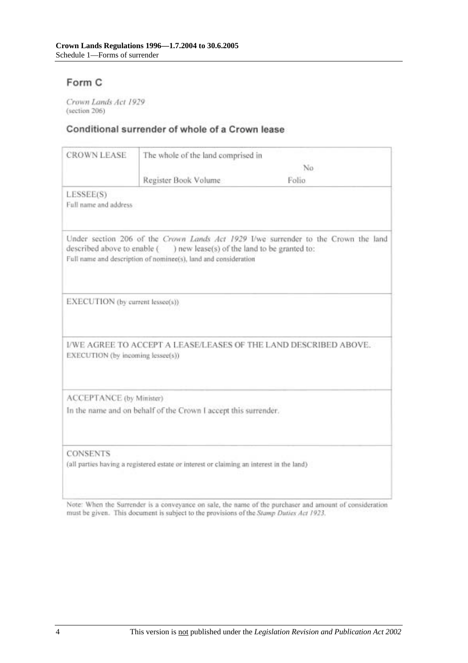## Form C

Crown Lands Act 1929 (section 206)

### Conditional surrender of whole of a Crown lease

| <b>CROWN LEASE</b>                 | The whole of the land comprised in                                                                                                         |                                                                                    |
|------------------------------------|--------------------------------------------------------------------------------------------------------------------------------------------|------------------------------------------------------------------------------------|
|                                    | No                                                                                                                                         |                                                                                    |
|                                    | Register Book Volume                                                                                                                       | Folio.                                                                             |
| LESSEE(S)<br>Full name and address |                                                                                                                                            |                                                                                    |
|                                    | described above to enable () new lease(s) of the land to be granted to:<br>Full name and description of nominee(s), land and consideration | Under section 206 of the Crown Lands Act 1929 I/we surrender to the Crown the land |
| EXECUTION (by current lessee(s))   |                                                                                                                                            |                                                                                    |
| EXECUTION (by incoming lessee(s))  |                                                                                                                                            | I/WE AGREE TO ACCEPT A LEASE/LEASES OF THE LAND DESCRIBED ABOVE.                   |
| ACCEPTANCE (by Minister)           |                                                                                                                                            |                                                                                    |
|                                    | In the name and on behalf of the Crown I accept this surrender.                                                                            |                                                                                    |
| <b>CONSENTS</b>                    | (all parties having a registered estate or interest or claiming an interest in the land)                                                   |                                                                                    |

Note: When the Surrender is a conveyance on sale, the name of the purchaser and amount of consideration must be given. This document is subject to the provisions of the Stamp Duties Act 1923.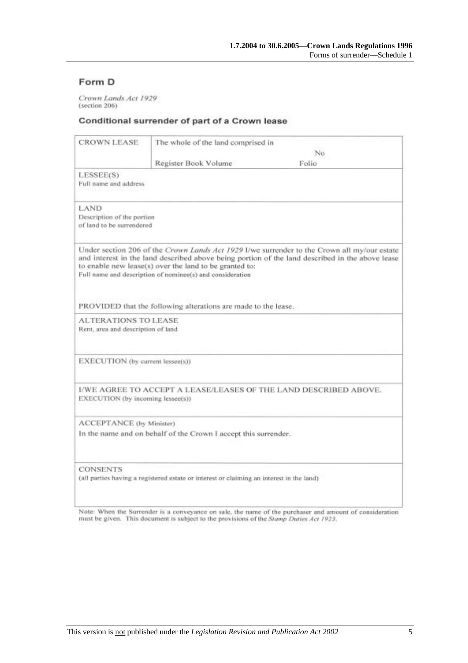### Form D

Crown Lands Act 1929 (section 206)

#### Conditional surrender of part of a Crown lease

| <b>CROWN LEASE</b>                                                                       | The whole of the land comprised in                                                                                  |                                                                                                                                                                                                |
|------------------------------------------------------------------------------------------|---------------------------------------------------------------------------------------------------------------------|------------------------------------------------------------------------------------------------------------------------------------------------------------------------------------------------|
|                                                                                          |                                                                                                                     | No.                                                                                                                                                                                            |
|                                                                                          | Register Book Volume                                                                                                | Folio                                                                                                                                                                                          |
| LESSEE(S)<br>Full name and address                                                       |                                                                                                                     |                                                                                                                                                                                                |
| LAND<br>Description of the portion<br>of land to be surrendered                          |                                                                                                                     |                                                                                                                                                                                                |
|                                                                                          | to enable new lease(s) over the land to be granted to:<br>Full name and description of nominee(s) and consideration | Under section 206 of the Crown Lands Act 1929 I/we surrender to the Crown all my/our estate<br>and interest in the land described above being portion of the land described in the above lease |
|                                                                                          | PROVIDED that the following alterations are made to the lease.                                                      |                                                                                                                                                                                                |
| <b>ALTERATIONS TO LEASE</b><br>Rent, area and description of land                        |                                                                                                                     |                                                                                                                                                                                                |
| EXECUTION (by current lessee(s))                                                         |                                                                                                                     |                                                                                                                                                                                                |
| EXECUTION (by incoming lessee(s))                                                        |                                                                                                                     | I/WE AGREE TO ACCEPT A LEASE/LEASES OF THE LAND DESCRIBED ABOVE.                                                                                                                               |
| ACCEPTANCE (by Minister)                                                                 |                                                                                                                     |                                                                                                                                                                                                |
|                                                                                          | In the name and on behalf of the Crown I accept this surrender.                                                     |                                                                                                                                                                                                |
| <b>CONSENTS</b>                                                                          |                                                                                                                     |                                                                                                                                                                                                |
| (all parties having a registered estate or interest or claiming an interest in the land) |                                                                                                                     |                                                                                                                                                                                                |

Note: When the Surrender is a conveyance on sale, the name of the purchaser and amount of consideration must be given. This document is subject to the provisions of the Stamp Duties Act 1923.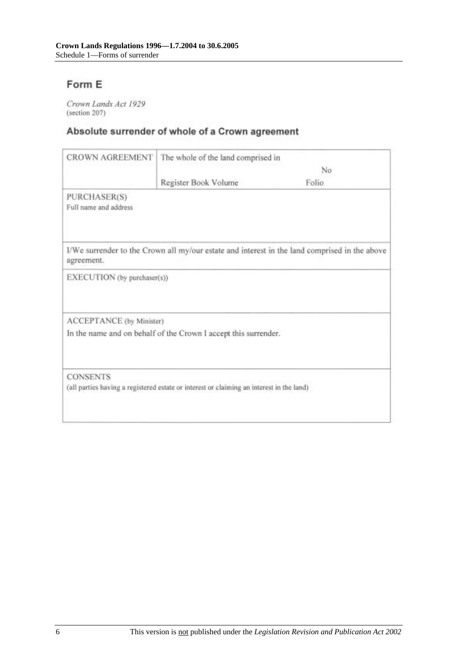# Form E

Crown Lands Act 1929 (section 207)

## Absolute surrender of whole of a Crown agreement

| <b>CROWN AGREEMENT</b>                | The whole of the land comprised in                                                       |                                                                                               |
|---------------------------------------|------------------------------------------------------------------------------------------|-----------------------------------------------------------------------------------------------|
|                                       | No                                                                                       |                                                                                               |
|                                       | Register Book Volume                                                                     | Folio                                                                                         |
| PURCHASER(S)<br>Full name and address |                                                                                          |                                                                                               |
| agreement.                            |                                                                                          | I/We surrender to the Crown all my/our estate and interest in the land comprised in the above |
| EXECUTION (by purchaser(s))           |                                                                                          |                                                                                               |
| ACCEPTANCE (by Minister)              |                                                                                          |                                                                                               |
|                                       | In the name and on behalf of the Crown I accept this surrender.                          |                                                                                               |
| <b>CONSENTS</b>                       |                                                                                          |                                                                                               |
|                                       | (all parties having a registered estate or interest or claiming an interest in the land) |                                                                                               |
|                                       |                                                                                          |                                                                                               |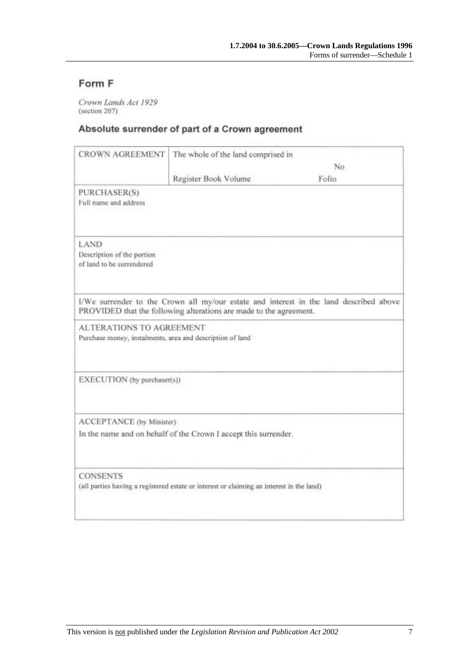# Form F

Crown Lands Act 1929 (section 207)

### Absolute surrender of part of a Crown agreement

| <b>CROWN AGREEMENT</b>                                                                       | The whole of the land comprised in                                 |                                                                                        |
|----------------------------------------------------------------------------------------------|--------------------------------------------------------------------|----------------------------------------------------------------------------------------|
|                                                                                              |                                                                    | No                                                                                     |
|                                                                                              | Register Book Volume                                               | Folio                                                                                  |
| PURCHASER(S)<br>Full name and address                                                        |                                                                    |                                                                                        |
| LAND<br>Description of the portion<br>of land to be surrendered                              |                                                                    |                                                                                        |
|                                                                                              | PROVIDED that the following alterations are made to the agreement. | I/We surrender to the Crown all my/our estate and interest in the land described above |
| <b>ALTERATIONS TO AGREEMENT</b><br>Purchase money, instalments, area and description of land |                                                                    |                                                                                        |
| EXECUTION (by purchaser(s))                                                                  |                                                                    |                                                                                        |
| ACCEPTANCE (by Minister)                                                                     |                                                                    |                                                                                        |
|                                                                                              | In the name and on behalf of the Crown I accept this surrender.    |                                                                                        |
| <b>CONSENTS</b>                                                                              |                                                                    |                                                                                        |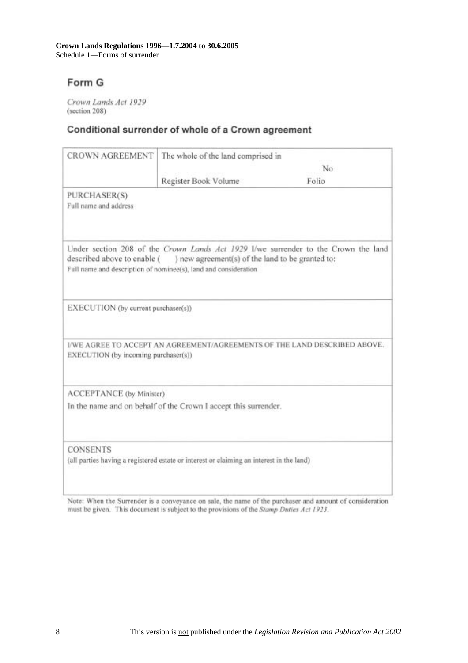# Form G

Crown Lands Act 1929 (section 208)

### Conditional surrender of whole of a Crown agreement

| The whole of the land comprised in                              |                                                                                                                                                                                                           |
|-----------------------------------------------------------------|-----------------------------------------------------------------------------------------------------------------------------------------------------------------------------------------------------------|
| No                                                              |                                                                                                                                                                                                           |
| Register Book Volume                                            | Folio                                                                                                                                                                                                     |
|                                                                 |                                                                                                                                                                                                           |
| ) new agreement(s) of the land to be granted to:                | Under section 208 of the Crown Lands Act 1929 I/we surrender to the Crown the land                                                                                                                        |
|                                                                 |                                                                                                                                                                                                           |
|                                                                 | I/WE AGREE TO ACCEPT AN AGREEMENT/AGREEMENTS OF THE LAND DESCRIBED ABOVE.                                                                                                                                 |
|                                                                 |                                                                                                                                                                                                           |
| In the name and on behalf of the Crown I accept this surrender. |                                                                                                                                                                                                           |
|                                                                 |                                                                                                                                                                                                           |
|                                                                 | described above to enable (<br>Full name and description of nominee(s), land and consideration<br>EXECUTION (by current purchaser(s))<br>EXECUTION (by incoming purchaser(s))<br>ACCEPTANCE (by Minister) |

Note: When the Surrender is a conveyance on sale, the name of the purchaser and amount of consideration must be given. This document is subject to the provisions of the Stamp Duties Act 1923.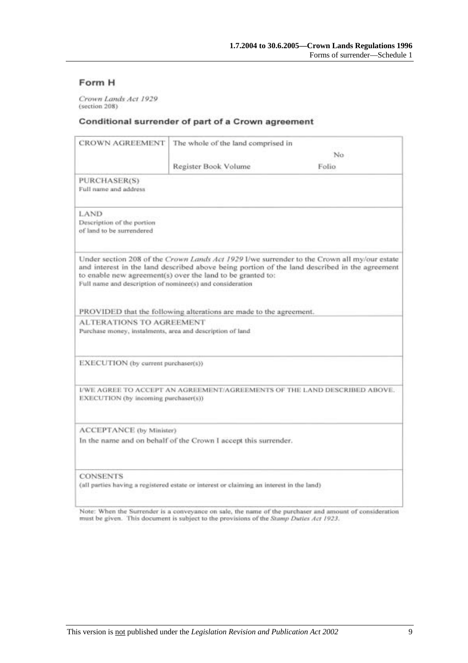### Form H

Crown Lands Act 1929 (section 208)

#### Conditional surrender of part of a Crown agreement

| CROWN AGREEMENT                                                                                             | The whole of the land comprised in                                 |                                                                                                                                                                                              |
|-------------------------------------------------------------------------------------------------------------|--------------------------------------------------------------------|----------------------------------------------------------------------------------------------------------------------------------------------------------------------------------------------|
|                                                                                                             | No.                                                                |                                                                                                                                                                                              |
|                                                                                                             | Register Book Volume                                               | Folio.                                                                                                                                                                                       |
| PURCHASER(S)<br>Full name and address                                                                       |                                                                    |                                                                                                                                                                                              |
| LAND<br>Description of the portion<br>of land to be surrendered                                             |                                                                    |                                                                                                                                                                                              |
| Full name and description of nominee(s) and consideration                                                   | to enable new agreement(s) over the land to be granted to:         | Under section 208 of the Crown Lands Act 1929 I/we surrender to the Crown all my/our estate<br>and interest in the land described above being portion of the land described in the agreement |
|                                                                                                             | PROVIDED that the following alterations are made to the agreement. |                                                                                                                                                                                              |
| <b>ALTERATIONS TO AGREEMENT</b><br>Purchase money, instalments, area and description of land                |                                                                    |                                                                                                                                                                                              |
| EXECUTION (by current purchaser(s))                                                                         |                                                                    |                                                                                                                                                                                              |
| EXECUTION (by incoming purchaser(s))                                                                        |                                                                    | I/WE AGREE TO ACCEPT AN AGREEMENT/AGREEMENTS OF THE LAND DESCRIBED ABOVE.                                                                                                                    |
| ACCEPTANCE (by Minister)                                                                                    |                                                                    |                                                                                                                                                                                              |
|                                                                                                             | In the name and on behalf of the Crown I accept this surrender.    |                                                                                                                                                                                              |
| <b>CONSENTS</b><br>(all parties having a registered estate or interest or claiming an interest in the land) |                                                                    |                                                                                                                                                                                              |

Note: When the Surrender is a conveyance on sale, the name of the purchaser and amount of consideration must be given. This document is subject to the provisions of the Stamp Dutles Act 1923.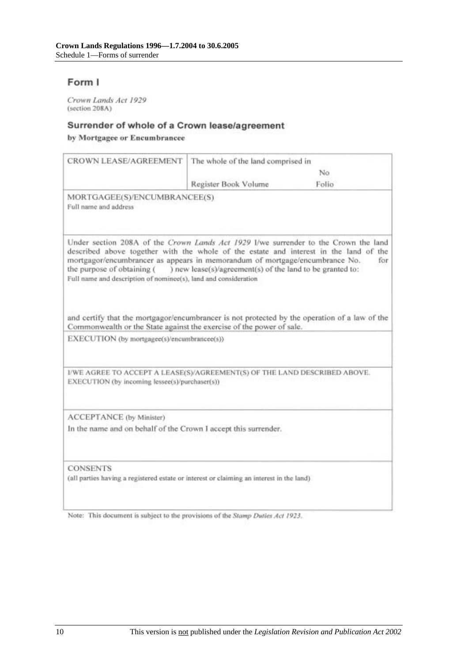### Form I

Crown Lands Act 1929 (section 208A)

#### Surrender of whole of a Crown lease/agreement

by Mortgagee or Encumbrancee

| CROWN LEASE/AGREEMENT                                                                                                                                                                                                                                                                                                                                        | The whole of the land comprised in                        |       |
|--------------------------------------------------------------------------------------------------------------------------------------------------------------------------------------------------------------------------------------------------------------------------------------------------------------------------------------------------------------|-----------------------------------------------------------|-------|
|                                                                                                                                                                                                                                                                                                                                                              |                                                           | No    |
|                                                                                                                                                                                                                                                                                                                                                              | Register Book Volume                                      | Folio |
| MORTGAGEE(S)/ENCUMBRANCEE(S)<br>Full name and address                                                                                                                                                                                                                                                                                                        |                                                           |       |
| Under section 208A of the Crown Lands Act 1929 I/we surrender to the Crown the land<br>described above together with the whole of the estate and interest in the land of the<br>mortgagor/encumbrancer as appears in memorandum of mortgage/encumbrance No.<br>the purpose of obtaining (<br>Full name and description of nominee(s), land and consideration | ) new lease(s)/agreement(s) of the land to be granted to: | for   |
| and certify that the mortgagor/encumbrancer is not protected by the operation of a law of the<br>Commonwealth or the State against the exercise of the power of sale.<br>EXECUTION (by mortgagee(s)/encumbrancee(s))                                                                                                                                         |                                                           |       |
| I/WE AGREE TO ACCEPT A LEASE(S)/AGREEMENT(S) OF THE LAND DESCRIBED ABOVE.<br>EXECUTION (by incoming lessee(s)/purchaser(s))                                                                                                                                                                                                                                  |                                                           |       |
| ACCEPTANCE (by Minister)<br>In the name and on behalf of the Crown I accept this surrender.                                                                                                                                                                                                                                                                  |                                                           |       |
| <b>CONSENTS</b><br>(all parties having a registered estate or interest or claiming an interest in the land)                                                                                                                                                                                                                                                  |                                                           |       |

Note: This document is subject to the provisions of the Stamp Duties Act 1923.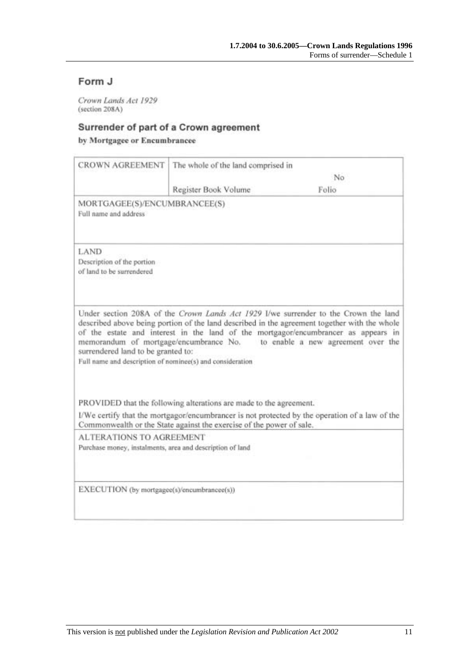### Form J

Crown Lands Act 1929 (section 208A)

### Surrender of part of a Crown agreement

by Mortgagee or Encumbrancee

| <b>CROWN AGREEMENT</b>                                                                          | The whole of the land comprised in                                   |                                                                                                                                                                                                                                                                                                                                                        |
|-------------------------------------------------------------------------------------------------|----------------------------------------------------------------------|--------------------------------------------------------------------------------------------------------------------------------------------------------------------------------------------------------------------------------------------------------------------------------------------------------------------------------------------------------|
|                                                                                                 |                                                                      | No                                                                                                                                                                                                                                                                                                                                                     |
|                                                                                                 | Register Book Volume                                                 | Folio                                                                                                                                                                                                                                                                                                                                                  |
| MORTGAGEE(S)/ENCUMBRANCEE(S)<br>Full name and address                                           |                                                                      |                                                                                                                                                                                                                                                                                                                                                        |
| LAND<br>Description of the portion<br>of land to be surrendered                                 |                                                                      |                                                                                                                                                                                                                                                                                                                                                        |
| surrendered land to be granted to:<br>Full name and description of nominee(s) and consideration |                                                                      | Under section 208A of the Crown Lands Act 1929 I/we surrender to the Crown the land<br>described above being portion of the land described in the agreement together with the whole<br>of the estate and interest in the land of the mortgagor/encumbrancer as appears in<br>memorandum of mortgage/encumbrance No. to enable a new agreement over the |
|                                                                                                 | PROVIDED that the following alterations are made to the agreement.   |                                                                                                                                                                                                                                                                                                                                                        |
|                                                                                                 | Commonwealth or the State against the exercise of the power of sale. | I/We certify that the mortgagor/encumbrancer is not protected by the operation of a law of the                                                                                                                                                                                                                                                         |
| <b>ALTERATIONS TO AGREEMENT</b><br>Purchase money, instalments, area and description of land    |                                                                      |                                                                                                                                                                                                                                                                                                                                                        |
| EXECUTION (by mortgagee(s)/encumbrancee(s))                                                     |                                                                      |                                                                                                                                                                                                                                                                                                                                                        |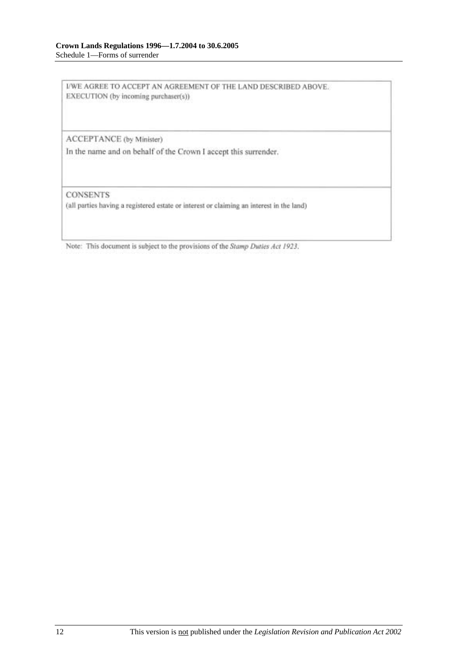I/WE AGREE TO ACCEPT AN AGREEMENT OF THE LAND DESCRIBED ABOVE. EXECUTION (by incoming purchaser(s))

ACCEPTANCE (by Minister)

In the name and on behalf of the Crown I accept this surrender.

**CONSENTS** 

(all parties having a registered estate or interest or claiming an interest in the land)

Note: This document is subject to the provisions of the Stamp Duties Act 1923.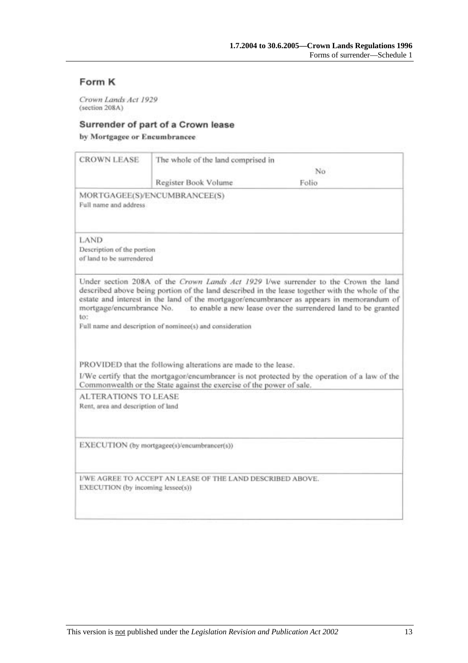### Form K

Crown Lands Act 1929<br>(section 208A)

#### Surrender of part of a Crown lease

by Mortgagee or Encumbrancee

|                                                                   | The whole of the land comprised in                                   |                                                                                                                                                                                                                                                                                                                                                                               |
|-------------------------------------------------------------------|----------------------------------------------------------------------|-------------------------------------------------------------------------------------------------------------------------------------------------------------------------------------------------------------------------------------------------------------------------------------------------------------------------------------------------------------------------------|
|                                                                   |                                                                      | No                                                                                                                                                                                                                                                                                                                                                                            |
|                                                                   | Register Book Volume                                                 | Folio                                                                                                                                                                                                                                                                                                                                                                         |
| Full name and address                                             | MORTGAGEE(S)/ENCUMBRANCEE(S)                                         |                                                                                                                                                                                                                                                                                                                                                                               |
| LAND<br>Description of the portion<br>of land to be surrendered   |                                                                      |                                                                                                                                                                                                                                                                                                                                                                               |
|                                                                   |                                                                      | Under section 208A of the Crown Lands Act 1929 I/we surrender to the Crown the land<br>described above being portion of the land described in the lease together with the whole of the<br>estate and interest in the land of the mortgagor/encumbrancer as appears in memorandum of<br>mortgage/encumbrance No. to enable a new lease over the surrendered land to be granted |
| to:                                                               | Full name and description of nominee(s) and consideration            |                                                                                                                                                                                                                                                                                                                                                                               |
|                                                                   | PROVIDED that the following alterations are made to the lease.       |                                                                                                                                                                                                                                                                                                                                                                               |
|                                                                   | Commonwealth or the State against the exercise of the power of sale. | I/We certify that the mortgagor/encumbrancer is not protected by the operation of a law of the                                                                                                                                                                                                                                                                                |
| <b>ALTERATIONS TO LEASE</b><br>Rent, area and description of land |                                                                      |                                                                                                                                                                                                                                                                                                                                                                               |
|                                                                   | EXECUTION (by mortgagee(s)/encumbrancer(s))                          |                                                                                                                                                                                                                                                                                                                                                                               |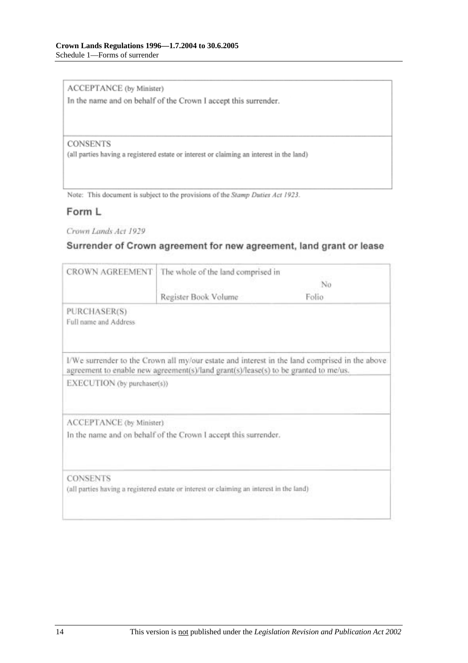ACCEPTANCE (by Minister)

In the name and on behalf of the Crown I accept this surrender.

#### **CONSENTS**

(all parties having a registered estate or interest or claiming an interest in the land)

Note: This document is subject to the provisions of the Stamp Duties Act 1923.

#### Form L

Crown Lands Act 1929

### Surrender of Crown agreement for new agreement, land grant or lease

| <b>CROWN AGREEMENT</b>                | The whole of the land comprised in                                                       |                                                                                               |
|---------------------------------------|------------------------------------------------------------------------------------------|-----------------------------------------------------------------------------------------------|
|                                       | No                                                                                       |                                                                                               |
|                                       | Register Book Volume                                                                     | Folio                                                                                         |
| PURCHASER(S)<br>Full name and Address |                                                                                          |                                                                                               |
|                                       | agreement to enable new agreement(s)/land grant(s)/lease(s) to be granted to me/us.      | I/We surrender to the Crown all my/our estate and interest in the land comprised in the above |
| EXECUTION (by purchaser(s))           |                                                                                          |                                                                                               |
| ACCEPTANCE (by Minister)              |                                                                                          |                                                                                               |
|                                       | In the name and on behalf of the Crown I accept this surrender.                          |                                                                                               |
| <b>CONSENTS</b>                       |                                                                                          |                                                                                               |
|                                       | (all parties having a registered estate or interest or claiming an interest in the land) |                                                                                               |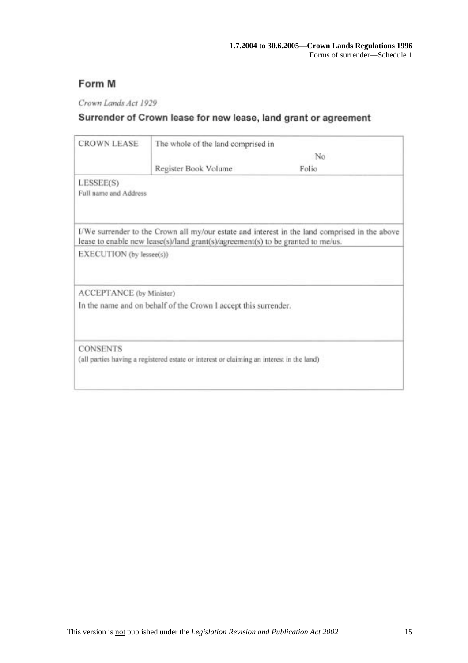### Form M

Crown Lands Act 1929

## Surrender of Crown lease for new lease, land grant or agreement

| <b>CROWN LEASE</b>       | The whole of the land comprised in                                                       |                                                                                               |
|--------------------------|------------------------------------------------------------------------------------------|-----------------------------------------------------------------------------------------------|
|                          |                                                                                          | No                                                                                            |
|                          | Register Book Volume                                                                     | Folio                                                                                         |
| LESSEE(S)                |                                                                                          |                                                                                               |
| Full name and Address    |                                                                                          |                                                                                               |
|                          | lease to enable new lease(s)/land grant(s)/agreement(s) to be granted to me/us.          | I/We surrender to the Crown all my/our estate and interest in the land comprised in the above |
| EXECUTION (by lessee(s)) |                                                                                          |                                                                                               |
| ACCEPTANCE (by Minister) |                                                                                          |                                                                                               |
|                          | In the name and on behalf of the Crown I accept this surrender.                          |                                                                                               |
| <b>CONSENTS</b>          |                                                                                          |                                                                                               |
|                          | (all parties having a registered estate or interest or claiming an interest in the land) |                                                                                               |
|                          |                                                                                          |                                                                                               |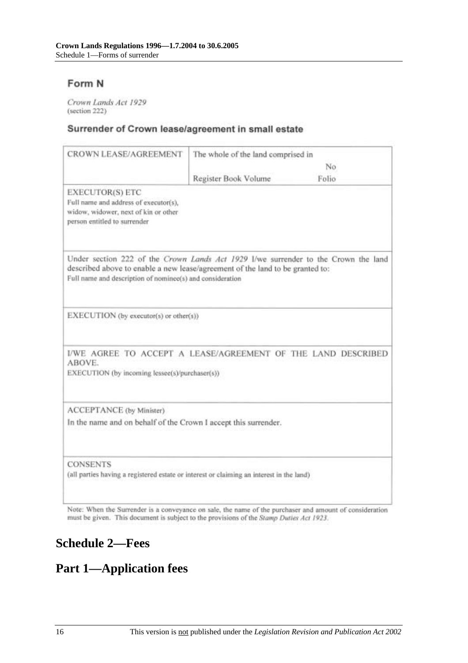### Form N

Crown Lands Act 1929 (section 222)

#### Surrender of Crown lease/agreement in small estate

| CROWN LEASE/AGREEMENT                                                                                                                                                                                                            | The whole of the land comprised in |       |
|----------------------------------------------------------------------------------------------------------------------------------------------------------------------------------------------------------------------------------|------------------------------------|-------|
|                                                                                                                                                                                                                                  |                                    | No    |
|                                                                                                                                                                                                                                  | Register Book Volume               | Folio |
| EXECUTOR(S) ETC<br>Full name and address of executor(s),<br>widow, widower, next of kin or other<br>person entitled to surrender                                                                                                 |                                    |       |
| Under section 222 of the Crown Lands Act 1929 I/we surrender to the Crown the land<br>described above to enable a new lease/agreement of the land to be granted to:<br>Full name and description of nominee(s) and consideration |                                    |       |
| EXECUTION (by executor(s) or other(s))                                                                                                                                                                                           |                                    |       |
| I/WE AGREE TO ACCEPT A LEASE/AGREEMENT OF THE LAND DESCRIBED<br>ABOVE.<br>EXECUTION (by incoming lessee(s)/purchaser(s))                                                                                                         |                                    |       |
| ACCEPTANCE (by Minister)<br>In the name and on behalf of the Crown I accept this surrender.                                                                                                                                      |                                    |       |
| <b>CONSENTS</b><br>(all parties having a registered estate or interest or claiming an interest in the land)                                                                                                                      |                                    |       |

Note: When the Surrender is a conveyance on sale, the name of the purchaser and amount of consideration must be given. This document is subject to the provisions of the Stamp Dutles Act 1923.

# **Schedule 2—Fees**

# **Part 1—Application fees**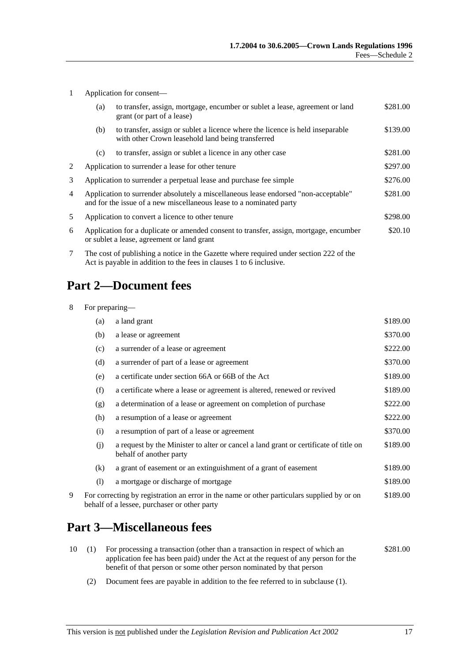|  | Application for consent- |
|--|--------------------------|
|--|--------------------------|

|    | (a)                                                                                                                                                           | to transfer, assign, mortgage, encumber or sublet a lease, agreement or land<br>grant (or part of a lease)                         | \$281.00 |
|----|---------------------------------------------------------------------------------------------------------------------------------------------------------------|------------------------------------------------------------------------------------------------------------------------------------|----------|
|    | (b)                                                                                                                                                           | to transfer, assign or sublet a licence where the licence is held inseparable<br>with other Crown leasehold land being transferred | \$139.00 |
|    | (c)                                                                                                                                                           | to transfer, assign or sublet a licence in any other case                                                                          | \$281.00 |
| 2  |                                                                                                                                                               | Application to surrender a lease for other tenure                                                                                  | \$297.00 |
| 3  | \$276.00<br>Application to surrender a perpetual lease and purchase fee simple                                                                                |                                                                                                                                    |          |
| 4  | Application to surrender absolutely a miscellaneous lease endorsed "non-acceptable"<br>and for the issue of a new miscellaneous lease to a nominated party    |                                                                                                                                    | \$281.00 |
| 5. | Application to convert a licence to other tenure                                                                                                              |                                                                                                                                    | \$298.00 |
| 6  | Application for a duplicate or amended consent to transfer, assign, mortgage, encumber<br>or sublet a lease, agreement or land grant                          |                                                                                                                                    | \$20.10  |
| 7  | The cost of publishing a notice in the Gazette where required under section 222 of the<br>Act is payable in addition to the fees in clauses 1 to 6 inclusive. |                                                                                                                                    |          |

# **Part 2—Document fees**

| 8<br>For preparing— |     |                                                                                                                                            |          |
|---------------------|-----|--------------------------------------------------------------------------------------------------------------------------------------------|----------|
|                     | (a) | a land grant                                                                                                                               | \$189.00 |
|                     | (b) | a lease or agreement                                                                                                                       | \$370.00 |
|                     | (c) | a surrender of a lease or agreement                                                                                                        | \$222.00 |
|                     | (d) | a surrender of part of a lease or agreement                                                                                                | \$370.00 |
|                     | (e) | a certificate under section 66A or 66B of the Act                                                                                          | \$189.00 |
|                     | (f) | a certificate where a lease or agreement is altered, renewed or revived                                                                    | \$189.00 |
|                     | (g) | a determination of a lease or agreement on completion of purchase                                                                          | \$222.00 |
|                     | (h) | a resumption of a lease or agreement                                                                                                       | \$222.00 |
|                     | (i) | a resumption of part of a lease or agreement                                                                                               | \$370.00 |
|                     | (j) | a request by the Minister to alter or cancel a land grant or certificate of title on<br>behalf of another party                            | \$189.00 |
|                     | (k) | a grant of easement or an extinguishment of a grant of easement                                                                            | \$189.00 |
|                     | (1) | a mortgage or discharge of mortgage                                                                                                        | \$189.00 |
| 9                   |     | For correcting by registration an error in the name or other particulars supplied by or on<br>behalf of a lessee, purchaser or other party | \$189.00 |

# **Part 3—Miscellaneous fees**

|  | 10 (1) For processing a transaction (other than a transaction in respect of which an | \$281.00 |
|--|--------------------------------------------------------------------------------------|----------|
|  | application fee has been paid) under the Act at the request of any person for the    |          |
|  | benefit of that person or some other person nominated by that person                 |          |

(2) Document fees are payable in addition to the fee referred to in subclause (1).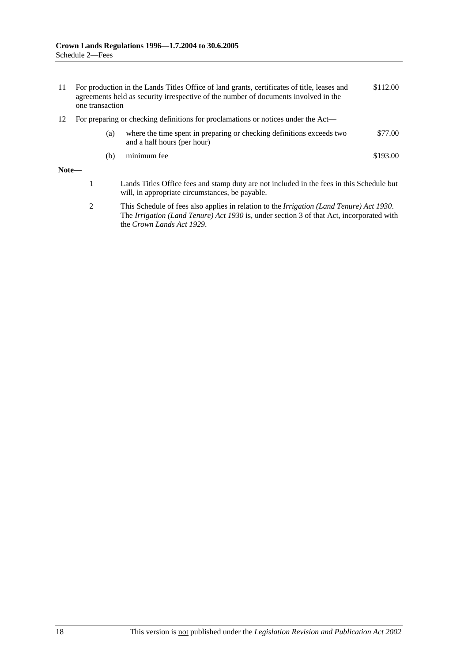| 11                                                                                      | one transaction | For production in the Lands Titles Office of land grants, certificates of title, leases and<br>agreements held as security irrespective of the number of documents involved in the | \$112.00 |
|-----------------------------------------------------------------------------------------|-----------------|------------------------------------------------------------------------------------------------------------------------------------------------------------------------------------|----------|
| For preparing or checking definitions for proclamations or notices under the Act—<br>12 |                 |                                                                                                                                                                                    |          |
|                                                                                         | (a)             | where the time spent in preparing or checking definitions exceeds two<br>and a half hours (per hour)                                                                               | \$77.00  |
|                                                                                         | (b)             | minimum fee                                                                                                                                                                        | \$193.00 |
| <b>M</b> T.4.                                                                           |                 |                                                                                                                                                                                    |          |

#### **Note—**

- 1 Lands Titles Office fees and stamp duty are not included in the fees in this Schedule but will, in appropriate circumstances, be payable.
- 2 This Schedule of fees also applies in relation to the *Irrigation (Land Tenure) Act 1930*. The *Irrigation (Land Tenure) Act 1930* is, under section 3 of that Act, incorporated with the *Crown Lands Act 1929*.